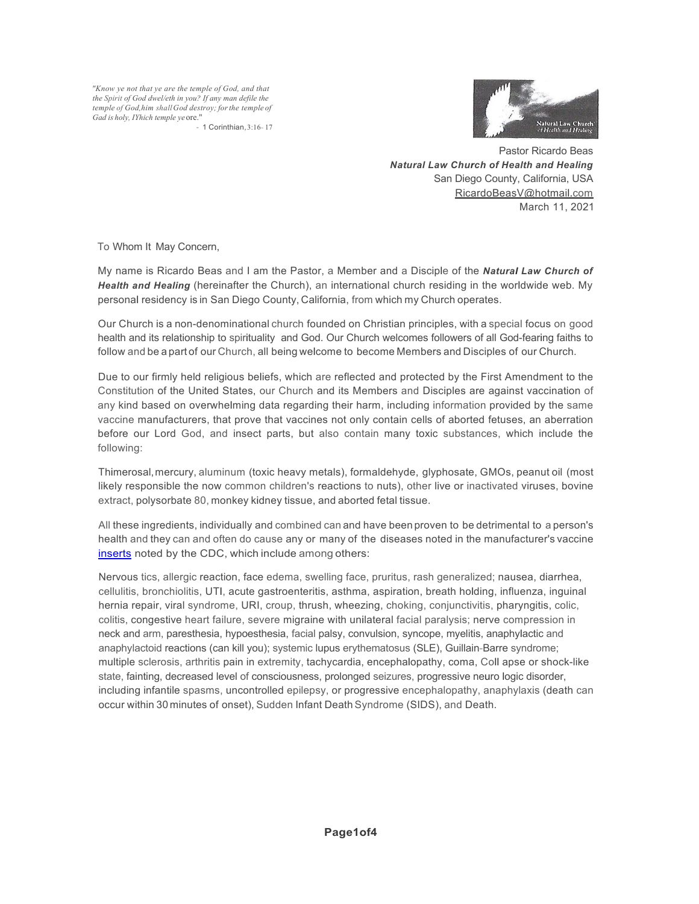*"Know ye not that ye are the temple of God, and that the Spirit of God dwel/eth in you? If any man defile the temple of God,him shallGod destroy; forthe temple of Gad is holy, IYhich temple ye*ore."

- 1 Corinthian,3:16- 17



Pastor Ricardo Beas *Natural Law Church of Health and Healing* San Diego County, California, USA RicardoBeasV@hotmail.com March 11, 2021

To Whom It May Concern,

My name is Ricardo Beas and I am the Pastor, a Member and a Disciple of the *Natural Law Church of Health and Healing* (hereinafter the Church), an international church residing in the worldwide web. My personal residency is in San Diego County, California, from which my Church operates.

Our Church is a non-denominational church founded on Christian principles, with a special focus on good health and its relationship to spirituality and God. Our Church welcomes followers of all God-fearing faiths to follow and be a part of our Church, all being welcome to become Members and Disciples of our Church.

Due to our firmly held religious beliefs, which are reflected and protected by the First Amendment to the Constitution of the United States, our Church and its Members and Disciples are against vaccination of any kind based on overwhelming data regarding their harm, including information provided by the same vaccine manufacturers, that prove that vaccines not only contain cells of aborted fetuses, an aberration before our Lord God, and insect parts, but also contain many toxic substances, which include the following:

Thimerosal,mercury, aluminum (toxic heavy metals), formaldehyde, glyphosate, GMOs, peanut oil (most likely responsible the now common children's reactions to nuts), other live or inactivated viruses, bovine extract, polysorbate 80, monkey kidney tissue, and aborted fetal tissue.

All these ingredients, individually and combined can and have been proven to be detrimental to a person's health and they can and often do cause any or many of the diseases noted in the manufacturer's vaccine inserts noted by the CDC, which include among others:

Nervous tics, allergic reaction, face edema, swelling face, pruritus, rash generalized; nausea, diarrhea, cellulitis, bronchiolitis, UTI, acute gastroenteritis, asthma, aspiration, breath holding, influenza, inguinal hernia repair, viral syndrome, URI, croup, thrush, wheezing, choking, conjunctivitis, pharyngitis, colic, colitis, congestive heart failure, severe migraine with unilateral facial paralysis; nerve compression in neck and arm, paresthesia, hypoesthesia, facial palsy, convulsion, syncope, myelitis, anaphylactic and anaphylactoid reactions (can kill you); systemic lupus erythematosus (SLE), Guillain-Barre syndrome; multiple sclerosis, arthritis pain in extremity, tachycardia, encephalopathy, coma, Coll apse or shock-like state, fainting, decreased level of consciousness, prolonged seizures, progressive neuro logic disorder, including infantile spasms, uncontrolled epilepsy, or progressive encephalopathy, anaphylaxis (death can occur within 30 minutes of onset), Sudden Infant Death Syndrome (SIDS), and Death.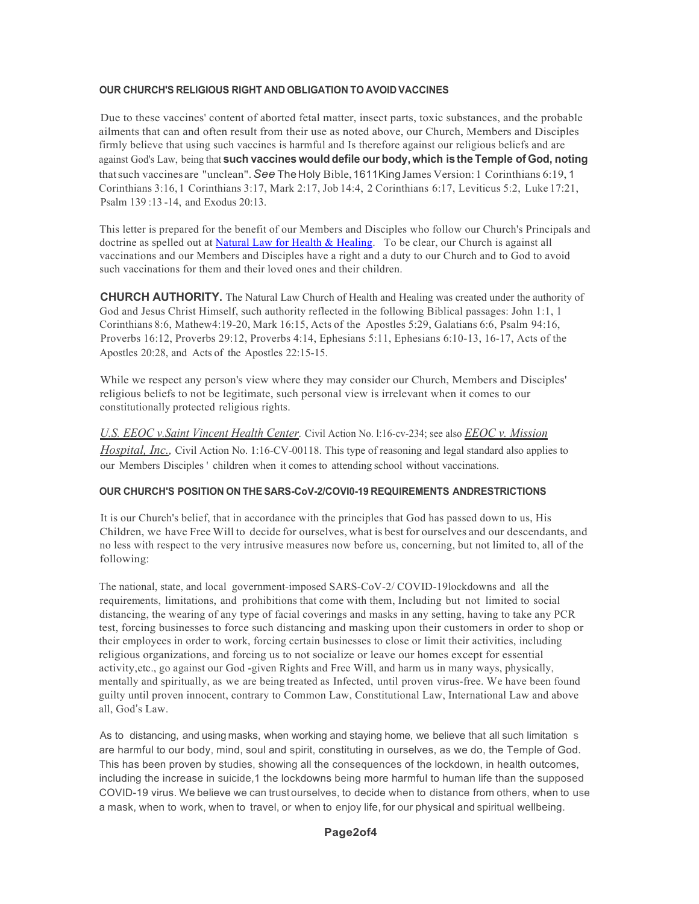## **OUR CHURCH'S RELIGIOUS RIGHT AND OBLIGATION TO AVOID VACCINES**

Due to these vaccines' content of aborted fetal matter, insect parts, toxic substances, and the probable ailments that can and often result from their use as noted above, our Church, Members and Disciples firmly believe that using such vaccines is harmful and Is therefore against our religious beliefs and are against God's Law, being that **such vaccines would defile our body,which is the Temple of God, noting** thatsuch vaccines are "unclean".*See* TheHoly Bible,1611KingJames Version:1 Corinthians 6:19, 1 Corinthians 3:16, 1 Corinthians 3:17, Mark 2:17, Job 14:4, 2 Corinthians 6:17, Leviticus 5:2, Luke 17:21, Psalm 139 :13 -14, and Exodus 20:13.

This letter is prepared for the benefit of our Members and Disciples who follow our Church's Principals and doctrine as spelled out at Natural Law for Health & Healing. To be clear, our Church is against all vaccinations and our Members and Disciples have a right and a duty to our Church and to God to avoid such vaccinations for them and their loved ones and their children.

**CHURCH AUTHORITY.** The Natural Law Church of Health and Healing was created under the authority of God and Jesus Christ Himself, such authority reflected in the following Biblical passages: John 1:1, 1 Corinthians 8:6, Mathew4:19-20, Mark 16:15, Acts of the Apostles 5:29, Galatians 6:6, Psalm 94:16, Proverbs 16:12, Proverbs 29:12, Proverbs 4:14, Ephesians 5:11, Ephesians 6:10-13, 16-17, Acts of the Apostles 20:28, and Acts of the Apostles 22:15-15.

While we respect any person's view where they may consider our Church, Members and Disciples' religious beliefs to not be legitimate, such personal view is irrelevant when it comes to our constitutionally protected religious rights.

*U.S. EEOC v.Saint Vincent Health Center.* Civil Action No. l:16-cv-234; see also *EEOC v. Mission Hospital, Inc.,* Civil Action No. 1:16-CV-00118. This type of reasoning and legal standard also applies to our Members Disciples ' children when it comes to attending school without vaccinations.

## **OUR CHURCH'S POSITION ON THE SARS-CoV-2/COVI0-19 REQUIREMENTS ANDRESTRICTIONS**

It is our Church's belief, that in accordance with the principles that God has passed down to us, His Children, we have Free Will to decide for ourselves, what is best for ourselves and our descendants, and no less with respect to the very intrusive measures now before us, concerning, but not limited to, all of the following:

The national, state, and local government-imposed SARS-CoV-2/ COVID-19lockdowns and all the requirements, limitations, and prohibitions that come with them, Including but not limited to social distancing, the wearing of any type of facial coverings and masks in any setting, having to take any PCR test, forcing businesses to force such distancing and masking upon their customers in order to shop or their employees in order to work, forcing certain businesses to close or limit their activities, including religious organizations, and forcing us to not socialize or leave our homes except for essential activity,etc., go against our God -given Rights and Free Will, and harm us in many ways, physically, mentally and spiritually, as we are being treated as Infected, until proven virus-free. We have been found guilty until proven innocent, contrary to Common Law, Constitutional Law, International Law and above all, God's Law.

As to distancing, and using masks, when working and staying home, we believe that all such limitation s are harmful to our body, mind, soul and spirit, constituting in ourselves, as we do, the Temple of God. This has been proven by studies, showing all the consequences of the lockdown, in health outcomes, including the increase in suicide,1 the lockdowns being more harmful to human life than the supposed COVID-19 virus. We believe we can trust ourselves, to decide when to distance from others, when to use a mask, when to work, when to travel, or when to enjoy life, for our physical and spiritual wellbeing.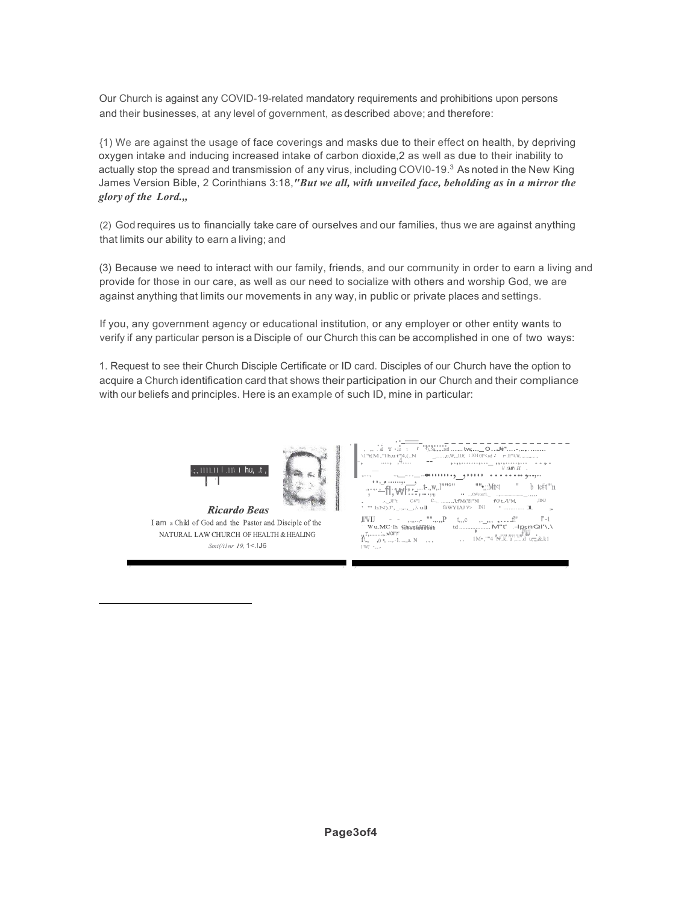Our Church is against any COVID-19-related mandatory requirements and prohibitions upon persons and their businesses, at any level of government, as described above; and therefore:

{1) We are against the usage of face coverings and masks due to their effect on health, by depriving oxygen intake and inducing increased intake of carbon dioxide,2 as well as due to their inability to actually stop the spread and transmission of any virus, including COVI0-19.3 As noted in the New King James Version Bible, 2 Corinthians 3:18,*"But we all, with unveiled face, beholding as in a mirror the glory of the Lord.,,*

(2) God requires us to financially take care of ourselves and our families, thus we are against anything that limits our ability to earn a living; and

(3) Because we need to interact with our family, friends, and our community in order to earn a living and provide for those in our care, as well as our need to socialize with others and worship God, we are against anything that limits our movements in any way, in public or private places and settings.

If you, any government agency or educational institution, or any employer or other entity wants to verify if any particular person is a Disciple of our Church this can be accomplished in one of two ways:

1. Request to see their Church Disciple Certificate or ID card. Disciples of our Church have the option to acquire a Church identification card that shows their participation in our Church and their compliance with our beliefs and principles. Here is an example of such ID, mine in particular:





**Ricardo Beas** I am a Child of God and the Pastor and Disciple of the NATURAL LAW CHURCH OF HEALTH & HEALING  $Smt/(t1nr 19, 1 < 156$